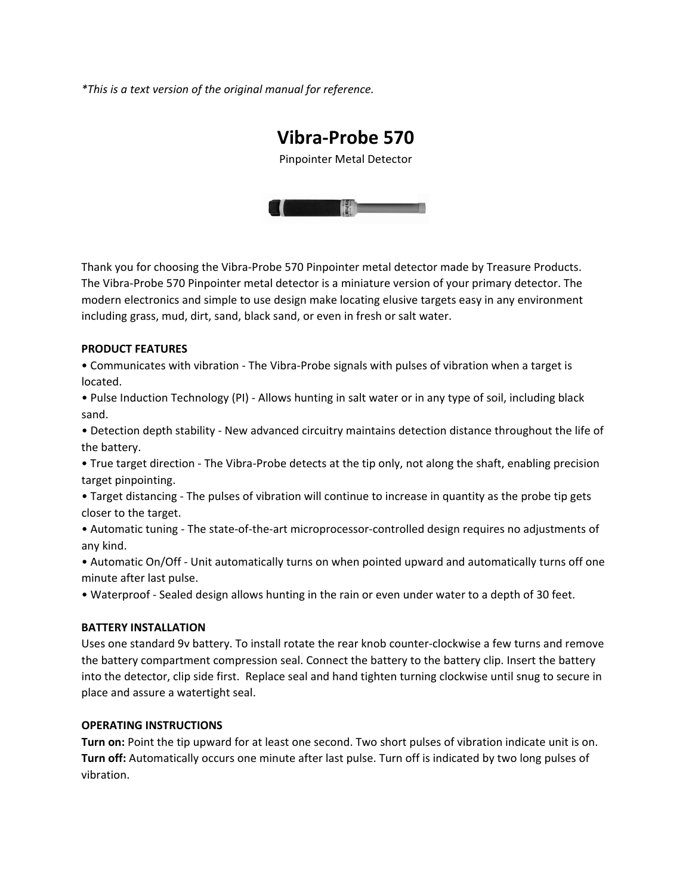*\*This is a text version of the original manual for reference.*

# **Vibra‐Probe 570**

Pinpointer Metal Detector



Thank you for choosing the Vibra‐Probe 570 Pinpointer metal detector made by Treasure Products. The Vibra‐Probe 570 Pinpointer metal detector is a miniature version of your primary detector. The modern electronics and simple to use design make locating elusive targets easy in any environment including grass, mud, dirt, sand, black sand, or even in fresh or salt water.

#### **PRODUCT FEATURES**

• Communicates with vibration ‐ The Vibra‐Probe signals with pulses of vibration when a target is located.

• Pulse Induction Technology (PI) ‐ Allows hunting in salt water or in any type of soil, including black sand.

• Detection depth stability ‐ New advanced circuitry maintains detection distance throughout the life of the battery.

• True target direction ‐ The Vibra‐Probe detects at the tip only, not along the shaft, enabling precision target pinpointing.

• Target distancing ‐ The pulses of vibration will continue to increase in quantity as the probe tip gets closer to the target.

• Automatic tuning ‐ The state‐of‐the‐art microprocessor‐controlled design requires no adjustments of any kind.

• Automatic On/Off ‐ Unit automatically turns on when pointed upward and automatically turns off one minute after last pulse.

• Waterproof ‐ Sealed design allows hunting in the rain or even under water to a depth of 30 feet.

#### **BATTERY INSTALLATION**

Uses one standard 9v battery. To install rotate the rear knob counter‐clockwise a few turns and remove the battery compartment compression seal. Connect the battery to the battery clip. Insert the battery into the detector, clip side first. Replace seal and hand tighten turning clockwise until snug to secure in place and assure a watertight seal.

## **OPERATING INSTRUCTIONS**

**Turn on:** Point the tip upward for at least one second. Two short pulses of vibration indicate unit is on. **Turn off:** Automatically occurs one minute after last pulse. Turn off is indicated by two long pulses of vibration.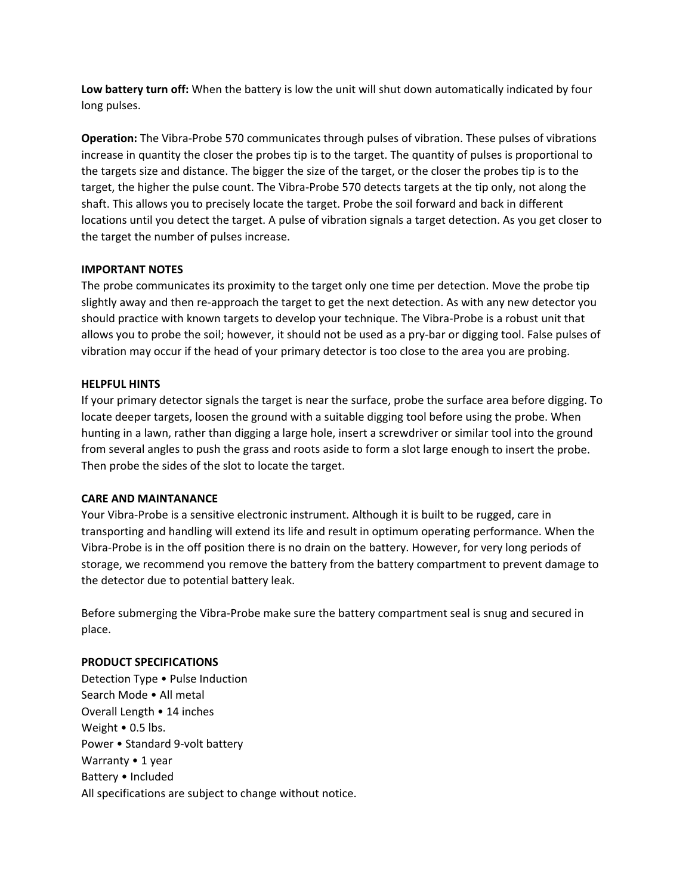**Low battery turn off:** When the battery is low the unit will shut down automatically indicated by four long pulses.

**Operation:** The Vibra‐Probe 570 communicates through pulses of vibration. These pulses of vibrations increase in quantity the closer the probes tip is to the target. The quantity of pulses is proportional to the targets size and distance. The bigger the size of the target, or the closer the probes tip is to the target, the higher the pulse count. The Vibra-Probe 570 detects targets at the tip only, not along the shaft. This allows you to precisely locate the target. Probe the soil forward and back in different locations until you detect the target. A pulse of vibration signals a target detection. As you get closer to the target the number of pulses increase.

## **IMPORTANT NOTES**

The probe communicates its proximity to the target only one time per detection. Move the probe tip slightly away and then re‐approach the target to get the next detection. As with any new detector you should practice with known targets to develop your technique. The Vibra‐Probe is a robust unit that allows you to probe the soil; however, it should not be used as a pry‐bar or digging tool. False pulses of vibration may occur if the head of your primary detector is too close to the area you are probing.

# **HELPFUL HINTS**

If your primary detector signals the target is near the surface, probe the surface area before digging. To locate deeper targets, loosen the ground with a suitable digging tool before using the probe. When hunting in a lawn, rather than digging a large hole, insert a screwdriver or similar tool into the ground from several angles to push the grass and roots aside to form a slot large enough to insert the probe. Then probe the sides of the slot to locate the target.

# **CARE AND MAINTANANCE**

Your Vibra‐Probe is a sensitive electronic instrument. Although it is built to be rugged, care in transporting and handling will extend its life and result in optimum operating performance. When the Vibra‐Probe is in the off position there is no drain on the battery. However, for very long periods of storage, we recommend you remove the battery from the battery compartment to prevent damage to the detector due to potential battery leak.

Before submerging the Vibra‐Probe make sure the battery compartment seal is snug and secured in place.

## **PRODUCT SPECIFICATIONS**

Detection Type • Pulse Induction Search Mode • All metal Overall Length • 14 inches Weight • 0.5 lbs. Power • Standard 9‐volt battery Warranty • 1 year Battery • Included All specifications are subject to change without notice.